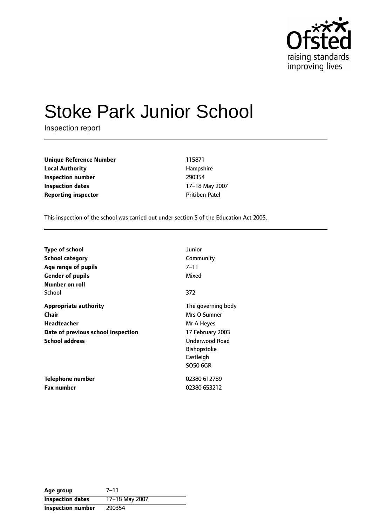

# Stoke Park Junior School

Inspection report

**Unique Reference Number** 115871 **Local Authority Hampshire Inspection number** 290354 **Inspection dates** 17-18 May 2007 **Reporting inspector CONFIDENTIAL PROPERTY PRITICE** Patel

This inspection of the school was carried out under section 5 of the Education Act 2005.

| <b>Type of school</b>              | Junior                |
|------------------------------------|-----------------------|
| School category                    | Community             |
| Age range of pupils                | 7–11                  |
| <b>Gender of pupils</b>            | Mixed                 |
| Number on roll                     |                       |
| School                             | 372                   |
| <b>Appropriate authority</b>       | The governing body    |
| Chair                              | Mrs O Sumner          |
| Headteacher                        | Mr A Heyes            |
| Date of previous school inspection | 17 February 2003      |
| <b>School address</b>              | <b>Underwood Road</b> |
|                                    | <b>Bishopstoke</b>    |
|                                    | Eastleigh             |
|                                    | <b>SO50 6GR</b>       |
| Telephone number                   | 02380 612789          |
| <b>Fax number</b>                  | 02380 653212          |

Age group 7-11 **Inspection dates** 17-18 May 2007 **Inspection number** 290354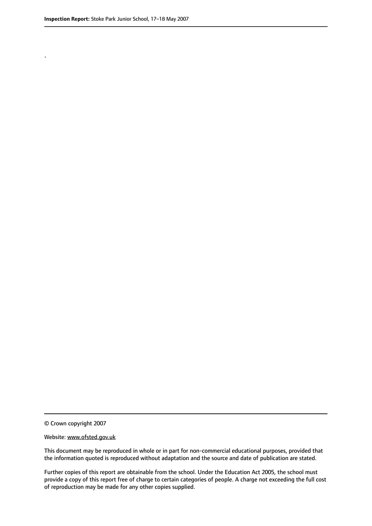.

© Crown copyright 2007

#### Website: www.ofsted.gov.uk

This document may be reproduced in whole or in part for non-commercial educational purposes, provided that the information quoted is reproduced without adaptation and the source and date of publication are stated.

Further copies of this report are obtainable from the school. Under the Education Act 2005, the school must provide a copy of this report free of charge to certain categories of people. A charge not exceeding the full cost of reproduction may be made for any other copies supplied.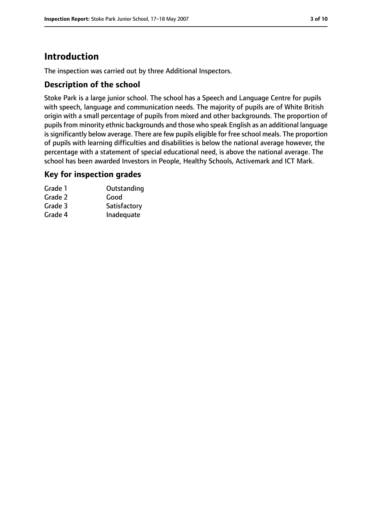# **Introduction**

The inspection was carried out by three Additional Inspectors.

#### **Description of the school**

Stoke Park is a large junior school. The school has a Speech and Language Centre for pupils with speech, language and communication needs. The majority of pupils are of White British origin with a small percentage of pupils from mixed and other backgrounds. The proportion of pupils from minority ethnic backgrounds and those who speak English as an additional language is significantly below average. There are few pupils eligible for free school meals. The proportion of pupils with learning difficulties and disabilities is below the national average however, the percentage with a statement of special educational need, is above the national average. The school has been awarded Investors in People, Healthy Schools, Activemark and ICT Mark.

#### **Key for inspection grades**

| Grade 1 | Outstanding  |
|---------|--------------|
| Grade 2 | Good         |
| Grade 3 | Satisfactory |
| Grade 4 | Inadequate   |
|         |              |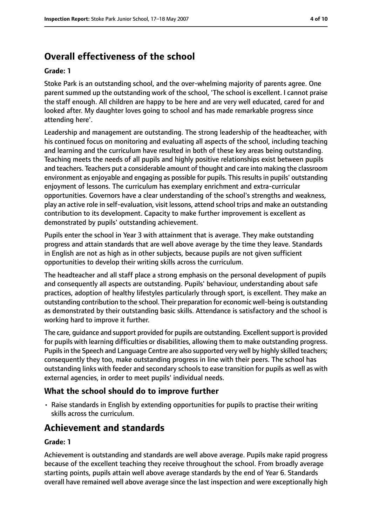# **Overall effectiveness of the school**

#### **Grade: 1**

Stoke Park is an outstanding school, and the over-whelming majority of parents agree. One parent summed up the outstanding work of the school, 'The school is excellent. I cannot praise the staff enough. All children are happy to be here and are very well educated, cared for and looked after. My daughter loves going to school and has made remarkable progress since attending here'.

Leadership and management are outstanding. The strong leadership of the headteacher, with his continued focus on monitoring and evaluating all aspects of the school, including teaching and learning and the curriculum have resulted in both of these key areas being outstanding. Teaching meets the needs of all pupils and highly positive relationships exist between pupils and teachers. Teachers put a considerable amount of thought and care into making the classroom environment as enjoyable and engaging as possible for pupils. Thisresultsin pupils' outstanding enjoyment of lessons. The curriculum has exemplary enrichment and extra-curricular opportunities. Governors have a clear understanding of the school's strengths and weakness, play an active role in self-evaluation, visit lessons, attend school trips and make an outstanding contribution to its development. Capacity to make further improvement is excellent as demonstrated by pupils' outstanding achievement.

Pupils enter the school in Year 3 with attainment that is average. They make outstanding progress and attain standards that are well above average by the time they leave. Standards in English are not as high as in other subjects, because pupils are not given sufficient opportunities to develop their writing skills across the curriculum.

The headteacher and all staff place a strong emphasis on the personal development of pupils and consequently all aspects are outstanding. Pupils' behaviour, understanding about safe practices, adoption of healthy lifestyles particularly through sport, is excellent. They make an outstanding contribution to the school. Their preparation for economic well-being is outstanding as demonstrated by their outstanding basic skills. Attendance is satisfactory and the school is working hard to improve it further.

The care, quidance and support provided for pupils are outstanding. Excellent support is provided for pupils with learning difficulties or disabilities, allowing them to make outstanding progress. Pupilsin the Speech and Language Centre are also supported very well by highly skilled teachers; consequently they too, make outstanding progress in line with their peers. The school has outstanding links with feeder and secondary schools to ease transition for pupils as well as with external agencies, in order to meet pupils' individual needs.

#### **What the school should do to improve further**

• Raise standards in English by extending opportunities for pupils to practise their writing skills across the curriculum.

## **Achievement and standards**

#### **Grade: 1**

Achievement is outstanding and standards are well above average. Pupils make rapid progress because of the excellent teaching they receive throughout the school. From broadly average starting points, pupils attain well above average standards by the end of Year 6. Standards overall have remained well above average since the last inspection and were exceptionally high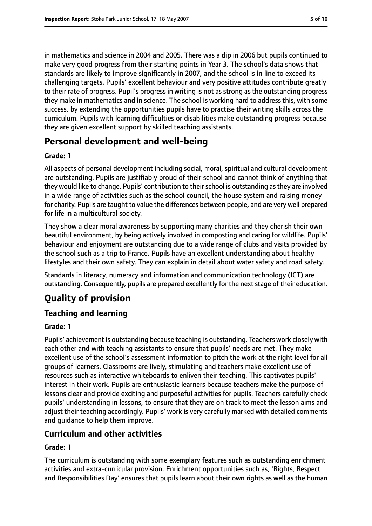in mathematics and science in 2004 and 2005. There was a dip in 2006 but pupils continued to make very good progress from their starting points in Year 3. The school's data shows that standards are likely to improve significantly in 2007, and the school is in line to exceed its challenging targets. Pupils' excellent behaviour and very positive attitudes contribute greatly to their rate of progress. Pupil's progress in writing is not as strong as the outstanding progress they make in mathematics and in science. The school is working hard to address this, with some success, by extending the opportunities pupils have to practise their writing skills across the curriculum. Pupils with learning difficulties or disabilities make outstanding progress because they are given excellent support by skilled teaching assistants.

# **Personal development and well-being**

#### **Grade: 1**

All aspects of personal development including social, moral, spiritual and cultural development are outstanding. Pupils are justifiably proud of their school and cannot think of anything that they would like to change. Pupils' contribution to their school is outstanding as they are involved in a wide range of activities such as the school council, the house system and raising money for charity. Pupils are taught to value the differences between people, and are very well prepared for life in a multicultural society.

They show a clear moral awareness by supporting many charities and they cherish their own beautiful environment, by being actively involved in composting and caring for wildlife. Pupils' behaviour and enjoyment are outstanding due to a wide range of clubs and visits provided by the school such as a trip to France. Pupils have an excellent understanding about healthy lifestyles and their own safety. They can explain in detail about water safety and road safety.

Standards in literacy, numeracy and information and communication technology (ICT) are outstanding. Consequently, pupils are prepared excellently for the next stage of their education.

# **Quality of provision**

## **Teaching and learning**

#### **Grade: 1**

Pupils' achievement is outstanding because teaching is outstanding. Teachers work closely with each other and with teaching assistants to ensure that pupils' needs are met. They make excellent use of the school's assessment information to pitch the work at the right level for all groups of learners. Classrooms are lively, stimulating and teachers make excellent use of resources such as interactive whiteboards to enliven their teaching. This captivates pupils' interest in their work. Pupils are enthusiastic learners because teachers make the purpose of lessons clear and provide exciting and purposeful activities for pupils. Teachers carefully check pupils' understanding in lessons, to ensure that they are on track to meet the lesson aims and adjust their teaching accordingly. Pupils' work is very carefully marked with detailed comments and guidance to help them improve.

#### **Curriculum and other activities**

#### **Grade: 1**

The curriculum is outstanding with some exemplary features such as outstanding enrichment activities and extra-curricular provision. Enrichment opportunities such as, 'Rights, Respect and Responsibilities Day' ensures that pupils learn about their own rights as well as the human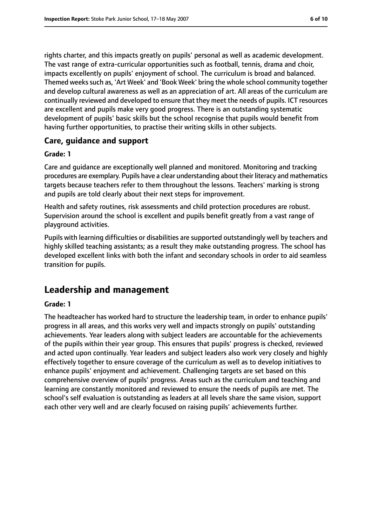rights charter, and this impacts greatly on pupils' personal as well as academic development. The vast range of extra-curricular opportunities such as football, tennis, drama and choir, impacts excellently on pupils' enjoyment of school. The curriculum is broad and balanced. Themed weeks such as, 'Art Week' and 'Book Week' bring the whole school community together and develop cultural awareness as well as an appreciation of art. All areas of the curriculum are continually reviewed and developed to ensure that they meet the needs of pupils. ICT resources are excellent and pupils make very good progress. There is an outstanding systematic development of pupils' basic skills but the school recognise that pupils would benefit from having further opportunities, to practise their writing skills in other subjects.

#### **Care, guidance and support**

#### **Grade: 1**

Care and guidance are exceptionally well planned and monitored. Monitoring and tracking procedures are exemplary. Pupils have a clear understanding about their literacy and mathematics targets because teachers refer to them throughout the lessons. Teachers' marking is strong and pupils are told clearly about their next steps for improvement.

Health and safety routines, risk assessments and child protection procedures are robust. Supervision around the school is excellent and pupils benefit greatly from a vast range of playground activities.

Pupils with learning difficulties or disabilities are supported outstandingly well by teachers and highly skilled teaching assistants; as a result they make outstanding progress. The school has developed excellent links with both the infant and secondary schools in order to aid seamless transition for pupils.

## **Leadership and management**

#### **Grade: 1**

The headteacher has worked hard to structure the leadership team, in order to enhance pupils' progress in all areas, and this works very well and impacts strongly on pupils' outstanding achievements. Year leaders along with subject leaders are accountable for the achievements of the pupils within their year group. This ensures that pupils' progress is checked, reviewed and acted upon continually. Year leaders and subject leaders also work very closely and highly effectively together to ensure coverage of the curriculum as well as to develop initiatives to enhance pupils' enjoyment and achievement. Challenging targets are set based on this comprehensive overview of pupils' progress. Areas such as the curriculum and teaching and learning are constantly monitored and reviewed to ensure the needs of pupils are met. The school's self evaluation is outstanding as leaders at all levels share the same vision, support each other very well and are clearly focused on raising pupils' achievements further.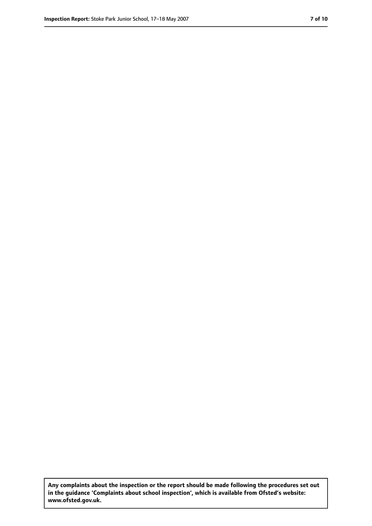**Any complaints about the inspection or the report should be made following the procedures set out in the guidance 'Complaints about school inspection', which is available from Ofsted's website: www.ofsted.gov.uk.**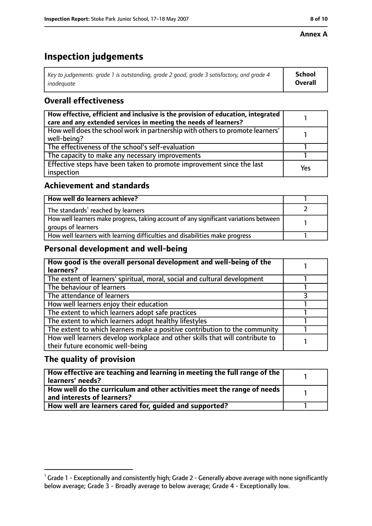#### **Annex A**

# **Inspection judgements**

| Key to judgements: grade 1 is outstanding, grade 2 good, grade 3 satisfactory, and grade 4 | School         |
|--------------------------------------------------------------------------------------------|----------------|
| inadeguate                                                                                 | <b>Overall</b> |

## **Overall effectiveness**

| How effective, efficient and inclusive is the provision of education, integrated<br>care and any extended services in meeting the needs of learners? |     |
|------------------------------------------------------------------------------------------------------------------------------------------------------|-----|
| How well does the school work in partnership with others to promote learners'<br>well-being?                                                         |     |
| The effectiveness of the school's self-evaluation                                                                                                    |     |
| The capacity to make any necessary improvements                                                                                                      |     |
| Effective steps have been taken to promote improvement since the last<br>inspection                                                                  | Yes |

### **Achievement and standards**

| How well do learners achieve?                                                                               |  |
|-------------------------------------------------------------------------------------------------------------|--|
| The standards <sup>1</sup> reached by learners                                                              |  |
| How well learners make progress, taking account of any significant variations between<br>groups of learners |  |
| How well learners with learning difficulties and disabilities make progress                                 |  |

## **Personal development and well-being**

| How good is the overall personal development and well-being of the<br>learners?                                  |  |
|------------------------------------------------------------------------------------------------------------------|--|
| The extent of learners' spiritual, moral, social and cultural development                                        |  |
| The behaviour of learners                                                                                        |  |
| The attendance of learners                                                                                       |  |
| How well learners enjoy their education                                                                          |  |
| The extent to which learners adopt safe practices                                                                |  |
| The extent to which learners adopt healthy lifestyles                                                            |  |
| The extent to which learners make a positive contribution to the community                                       |  |
| How well learners develop workplace and other skills that will contribute to<br>their future economic well-being |  |

## **The quality of provision**

| How effective are teaching and learning in meeting the full range of the<br>learners' needs?          |  |
|-------------------------------------------------------------------------------------------------------|--|
| How well do the curriculum and other activities meet the range of needs<br>and interests of learners? |  |
| How well are learners cared for, quided and supported?                                                |  |

 $^1$  Grade 1 - Exceptionally and consistently high; Grade 2 - Generally above average with none significantly below average; Grade 3 - Broadly average to below average; Grade 4 - Exceptionally low.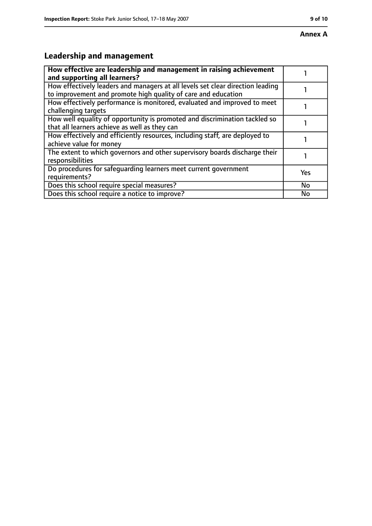# **Leadership and management**

| How effective are leadership and management in raising achievement<br>and supporting all learners?                                              |           |
|-------------------------------------------------------------------------------------------------------------------------------------------------|-----------|
| How effectively leaders and managers at all levels set clear direction leading<br>to improvement and promote high quality of care and education |           |
| How effectively performance is monitored, evaluated and improved to meet<br>challenging targets                                                 |           |
| How well equality of opportunity is promoted and discrimination tackled so<br>that all learners achieve as well as they can                     |           |
| How effectively and efficiently resources, including staff, are deployed to<br>achieve value for money                                          |           |
| The extent to which governors and other supervisory boards discharge their<br>responsibilities                                                  |           |
| Do procedures for safequarding learners meet current government<br>requirements?                                                                | Yes       |
| Does this school require special measures?                                                                                                      | <b>No</b> |
| Does this school require a notice to improve?                                                                                                   | No        |